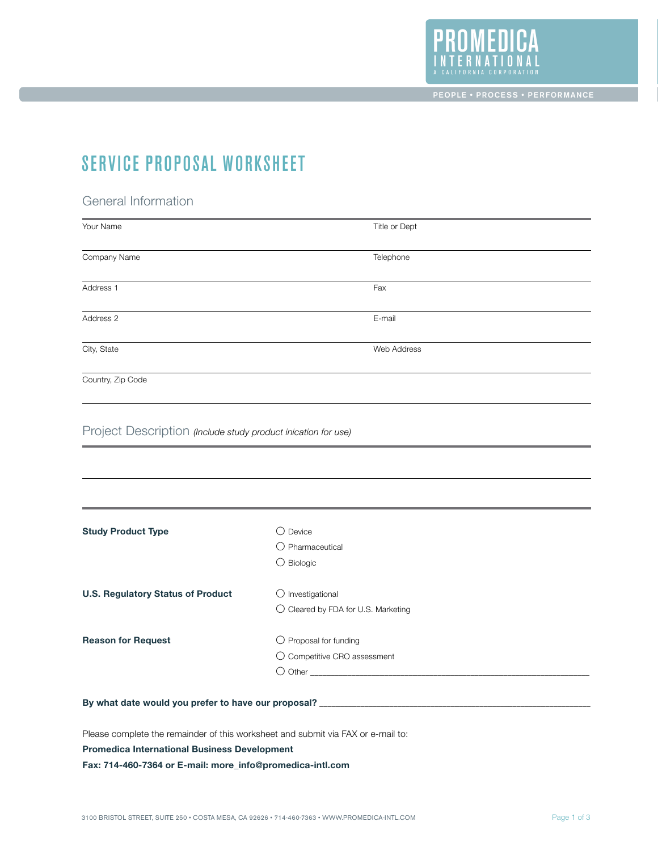

## SERVICE PROPOSAL WORKSHEET

## General Information

| Your Name                                                                        |                                     | Title or Dept |
|----------------------------------------------------------------------------------|-------------------------------------|---------------|
| Company Name                                                                     |                                     | Telephone     |
| Address 1                                                                        |                                     | Fax           |
| Address 2                                                                        |                                     | E-mail        |
| City, State                                                                      |                                     | Web Address   |
| Country, Zip Code                                                                |                                     |               |
| Project Description (Include study product inication for use)                    |                                     |               |
|                                                                                  |                                     |               |
|                                                                                  |                                     |               |
| <b>Study Product Type</b>                                                        | $\bigcirc$ Device                   |               |
|                                                                                  | $\bigcirc$ Pharmaceutical           |               |
|                                                                                  | $\bigcirc$ Biologic                 |               |
| <b>U.S. Regulatory Status of Product</b>                                         | $\bigcirc$ Investigational          |               |
|                                                                                  | O Cleared by FDA for U.S. Marketing |               |
| <b>Reason for Request</b>                                                        | $\bigcirc$ Proposal for funding     |               |
|                                                                                  | O Competitive CRO assessment        |               |
|                                                                                  |                                     |               |
| By what date would you prefer to have our proposal? ____________________________ |                                     |               |
|                                                                                  |                                     |               |

Please complete the remainder of this worksheet and submit via FAX or e-mail to:

**Promedica International Business Development**

**Fax: 714-460-7364 or E-mail: more\_info@promedica-intl.com**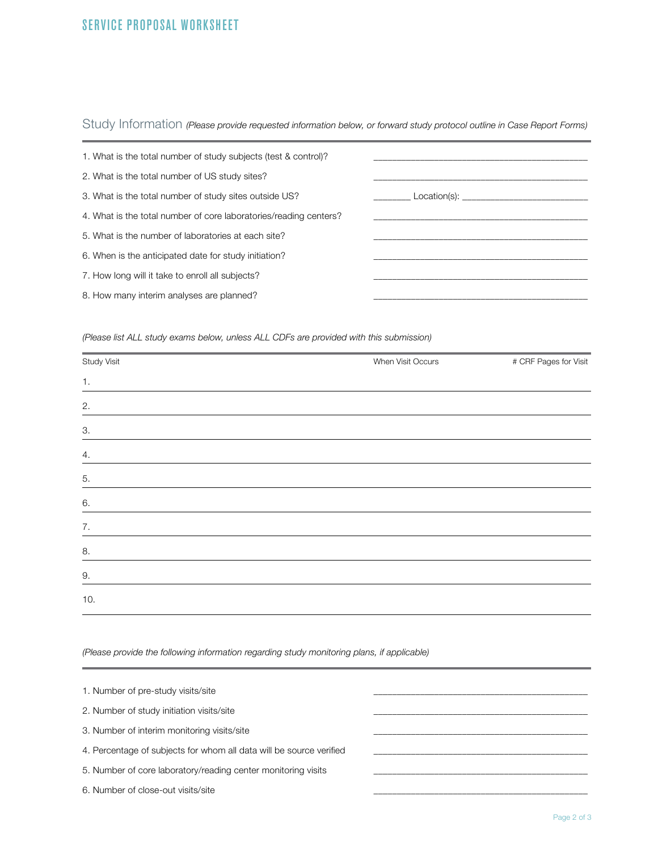## Service proposal worksheet

Study Information *(Please provide requested information below, or forward study protocol outline in Case Report Forms)*

| 1. What is the total number of study subjects (test & control)?   |  |
|-------------------------------------------------------------------|--|
| 2. What is the total number of US study sites?                    |  |
| 3. What is the total number of study sites outside US?            |  |
| 4. What is the total number of core laboratories/reading centers? |  |
| 5. What is the number of laboratories at each site?               |  |
| 6. When is the anticipated date for study initiation?             |  |
| 7. How long will it take to enroll all subjects?                  |  |
| 8. How many interim analyses are planned?                         |  |

*(Please list ALL study exams below, unless ALL CDFs are provided with this submission)*

| Study Visit | When Visit Occurs | # CRF Pages for Visit |
|-------------|-------------------|-----------------------|
| 1.          |                   |                       |
| 2.          |                   |                       |
| 3.          |                   |                       |
| 4.          |                   |                       |
| 5.          |                   |                       |
| 6.          |                   |                       |
| 7.          |                   |                       |
| 8.          |                   |                       |
| 9.          |                   |                       |
| 10.         |                   |                       |

*(Please provide the following information regarding study monitoring plans, if applicable)*

| 1. Number of pre-study visits/site                                  |  |
|---------------------------------------------------------------------|--|
| 2. Number of study initiation visits/site                           |  |
| 3. Number of interim monitoring visits/site                         |  |
| 4. Percentage of subjects for whom all data will be source verified |  |
| 5. Number of core laboratory/reading center monitoring visits       |  |
| 6. Number of close-out visits/site                                  |  |